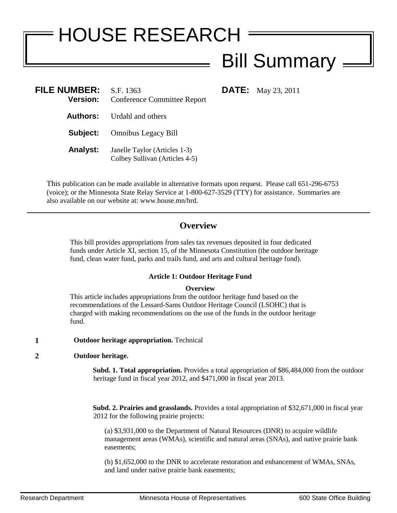# HOUSE RESEARCH Bill Summary  $=$

**FILE:** May 23, 2011

| <b>FILE NUMBER:</b><br><b>Version:</b> | S.F. 1363<br><b>Conference Committee Report</b>                 |
|----------------------------------------|-----------------------------------------------------------------|
|                                        | <b>Authors:</b> Urdahl and others                               |
| Subject:                               | <b>Omnibus Legacy Bill</b>                                      |
| <b>Analyst:</b>                        | Janelle Taylor (Articles 1-3)<br>Colbey Sullivan (Articles 4-5) |

This publication can be made available in alternative formats upon request. Please call 651-296-6753 (voice); or the Minnesota State Relay Service at 1-800-627-3529 (TTY) for assistance. Summaries are also available on our website at: www.house.mn/hrd.

## **Overview**

This bill provides appropriations from sales tax revenues deposited in four dedicated funds under Article XI, section 15, of the Minnesota Constitution (the outdoor heritage fund, clean water fund, parks and trails fund, and arts and cultural heritage fund).

## **Article 1: Outdoor Heritage Fund**

## **Overview**

This article includes appropriations from the outdoor heritage fund based on the recommendations of the Lessard-Sams Outdoor Heritage Council (LSOHC) that is charged with making recommendations on the use of the funds in the outdoor heritage fund.

## **1 Outdoor heritage appropriation.** Technical

## **2 Outdoor heritage.**

**Subd. 1. Total appropriation.** Provides a total appropriation of \$86,484,000 from the outdoor heritage fund in fiscal year 2012, and \$471,000 in fiscal year 2013.

**Subd. 2. Prairies and grasslands.** Provides a total appropriation of \$32,671,000 in fiscal year 2012 for the following prairie projects:

(a) \$3,931,000 to the Department of Natural Resources (DNR) to acquire wildlife management areas (WMAs), scientific and natural areas (SNAs), and native prairie bank easements;

(b) \$1,652,000 to the DNR to accelerate restoration and enhancement of WMAs, SNAs, and land under native prairie bank easements;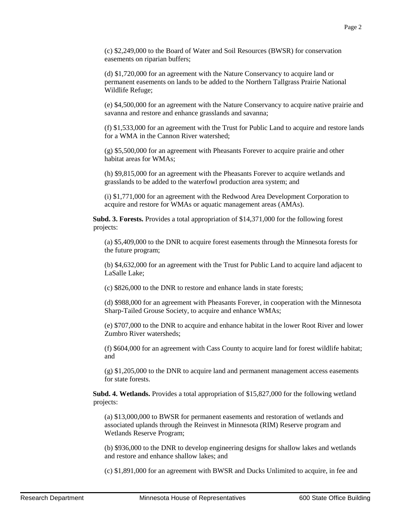(c) \$2,249,000 to the Board of Water and Soil Resources (BWSR) for conservation easements on riparian buffers;

(d) \$1,720,000 for an agreement with the Nature Conservancy to acquire land or permanent easements on lands to be added to the Northern Tallgrass Prairie National Wildlife Refuge;

(e) \$4,500,000 for an agreement with the Nature Conservancy to acquire native prairie and savanna and restore and enhance grasslands and savanna;

(f) \$1,533,000 for an agreement with the Trust for Public Land to acquire and restore lands for a WMA in the Cannon River watershed;

(g) \$5,500,000 for an agreement with Pheasants Forever to acquire prairie and other habitat areas for WMAs;

(h) \$9,815,000 for an agreement with the Pheasants Forever to acquire wetlands and grasslands to be added to the waterfowl production area system; and

(i) \$1,771,000 for an agreement with the Redwood Area Development Corporation to acquire and restore for WMAs or aquatic management areas (AMAs).

**Subd. 3. Forests.** Provides a total appropriation of \$14,371,000 for the following forest projects:

(a) \$5,409,000 to the DNR to acquire forest easements through the Minnesota forests for the future program;

(b) \$4,632,000 for an agreement with the Trust for Public Land to acquire land adjacent to LaSalle Lake;

(c) \$826,000 to the DNR to restore and enhance lands in state forests;

(d) \$988,000 for an agreement with Pheasants Forever, in cooperation with the Minnesota Sharp-Tailed Grouse Society, to acquire and enhance WMAs;

(e) \$707,000 to the DNR to acquire and enhance habitat in the lower Root River and lower Zumbro River watersheds;

(f) \$604,000 for an agreement with Cass County to acquire land for forest wildlife habitat; and

 $(g)$  \$1,205,000 to the DNR to acquire land and permanent management access easements for state forests.

**Subd. 4. Wetlands.** Provides a total appropriation of \$15,827,000 for the following wetland projects:

(a) \$13,000,000 to BWSR for permanent easements and restoration of wetlands and associated uplands through the Reinvest in Minnesota (RIM) Reserve program and Wetlands Reserve Program;

(b) \$936,000 to the DNR to develop engineering designs for shallow lakes and wetlands and restore and enhance shallow lakes; and

(c) \$1,891,000 for an agreement with BWSR and Ducks Unlimited to acquire, in fee and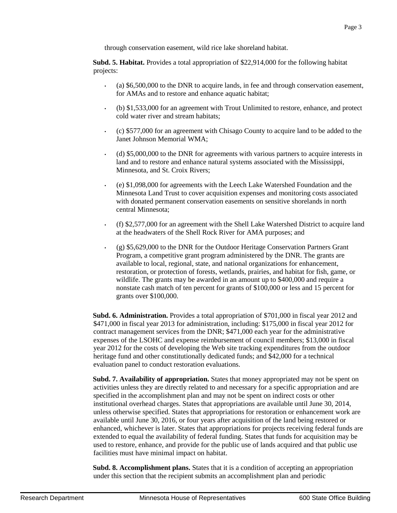through conservation easement, wild rice lake shoreland habitat.

**Subd. 5. Habitat.** Provides a total appropriation of \$22,914,000 for the following habitat projects:

- (a) \$6,500,000 to the DNR to acquire lands, in fee and through conservation easement, for AMAs and to restore and enhance aquatic habitat;
- (b) \$1,533,000 for an agreement with Trout Unlimited to restore, enhance, and protect cold water river and stream habitats;
- (c) \$577,000 for an agreement with Chisago County to acquire land to be added to the Janet Johnson Memorial WMA;
- (d) \$5,000,000 to the DNR for agreements with various partners to acquire interests in land and to restore and enhance natural systems associated with the Mississippi, Minnesota, and St. Croix Rivers;
- (e) \$1,098,000 for agreements with the Leech Lake Watershed Foundation and the Minnesota Land Trust to cover acquisition expenses and monitoring costs associated with donated permanent conservation easements on sensitive shorelands in north central Minnesota;
- (f) \$2,577,000 for an agreement with the Shell Lake Watershed District to acquire land at the headwaters of the Shell Rock River for AMA purposes; and
- (g) \$5,629,000 to the DNR for the Outdoor Heritage Conservation Partners Grant Program, a competitive grant program administered by the DNR. The grants are available to local, regional, state, and national organizations for enhancement, restoration, or protection of forests, wetlands, prairies, and habitat for fish, game, or wildlife. The grants may be awarded in an amount up to \$400,000 and require a nonstate cash match of ten percent for grants of \$100,000 or less and 15 percent for grants over \$100,000.

**Subd. 6. Administration.** Provides a total appropriation of \$701,000 in fiscal year 2012 and \$471,000 in fiscal year 2013 for administration, including: \$175,000 in fiscal year 2012 for contract management services from the DNR; \$471,000 each year for the administrative expenses of the LSOHC and expense reimbursement of council members; \$13,000 in fiscal year 2012 for the costs of developing the Web site tracking expenditures from the outdoor heritage fund and other constitutionally dedicated funds; and \$42,000 for a technical evaluation panel to conduct restoration evaluations.

**Subd. 7. Availability of appropriation.** States that money appropriated may not be spent on activities unless they are directly related to and necessary for a specific appropriation and are specified in the accomplishment plan and may not be spent on indirect costs or other institutional overhead charges. States that appropriations are available until June 30, 2014, unless otherwise specified. States that appropriations for restoration or enhancement work are available until June 30, 2016, or four years after acquisition of the land being restored or enhanced, whichever is later. States that appropriations for projects receiving federal funds are extended to equal the availability of federal funding. States that funds for acquisition may be used to restore, enhance, and provide for the public use of lands acquired and that public use facilities must have minimal impact on habitat.

**Subd. 8. Accomplishment plans.** States that it is a condition of accepting an appropriation under this section that the recipient submits an accomplishment plan and periodic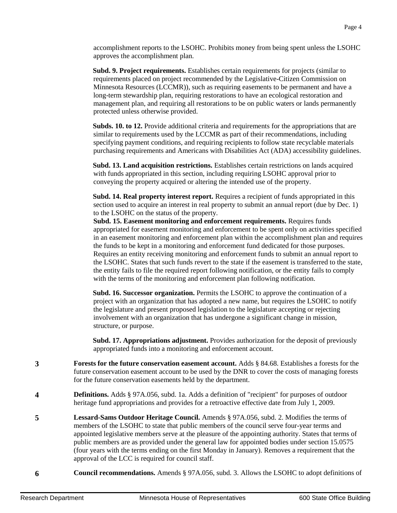accomplishment reports to the LSOHC. Prohibits money from being spent unless the LSOHC approves the accomplishment plan.

**Subd. 9. Project requirements.** Establishes certain requirements for projects (similar to requirements placed on project recommended by the Legislative-Citizen Commission on Minnesota Resources (LCCMR)), such as requiring easements to be permanent and have a long-term stewardship plan, requiring restorations to have an ecological restoration and management plan, and requiring all restorations to be on public waters or lands permanently protected unless otherwise provided.

**Subds. 10. to 12.** Provide additional criteria and requirements for the appropriations that are similar to requirements used by the LCCMR as part of their recommendations, including specifying payment conditions, and requiring recipients to follow state recyclable materials purchasing requirements and Americans with Disabilities Act (ADA) accessibility guidelines.

**Subd. 13. Land acquisition restrictions.** Establishes certain restrictions on lands acquired with funds appropriated in this section, including requiring LSOHC approval prior to conveying the property acquired or altering the intended use of the property.

**Subd. 14. Real property interest report.** Requires a recipient of funds appropriated in this section used to acquire an interest in real property to submit an annual report (due by Dec. 1) to the LSOHC on the status of the property.

**Subd. 15. Easement monitoring and enforcement requirements.** Requires funds appropriated for easement monitoring and enforcement to be spent only on activities specified in an easement monitoring and enforcement plan within the accomplishment plan and requires the funds to be kept in a monitoring and enforcement fund dedicated for those purposes. Requires an entity receiving monitoring and enforcement funds to submit an annual report to the LSOHC. States that such funds revert to the state if the easement is transferred to the state, the entity fails to file the required report following notification, or the entity fails to comply with the terms of the monitoring and enforcement plan following notification.

**Subd. 16. Successor organization.** Permits the LSOHC to approve the continuation of a project with an organization that has adopted a new name, but requires the LSOHC to notify the legislature and present proposed legislation to the legislature accepting or rejecting involvement with an organization that has undergone a significant change in mission, structure, or purpose.

**Subd. 17. Appropriations adjustment.** Provides authorization for the deposit of previously appropriated funds into a monitoring and enforcement account.

- **3 Forests for the future conservation easement account.** Adds § 84.68. Establishes a forests for the future conservation easement account to be used by the DNR to cover the costs of managing forests for the future conservation easements held by the department.
- **4 Definitions.** Adds § 97A.056, subd. 1a. Adds a definition of "recipient" for purposes of outdoor heritage fund appropriations and provides for a retroactive effective date from July 1, 2009.
- **5 Lessard-Sams Outdoor Heritage Council.** Amends § 97A.056, subd. 2. Modifies the terms of members of the LSOHC to state that public members of the council serve four-year terms and appointed legislative members serve at the pleasure of the appointing authority. States that terms of public members are as provided under the general law for appointed bodies under section 15.0575 (four years with the terms ending on the first Monday in January). Removes a requirement that the approval of the LCC is required for council staff.
- **6 Council recommendations.** Amends § 97A.056, subd. 3. Allows the LSOHC to adopt definitions of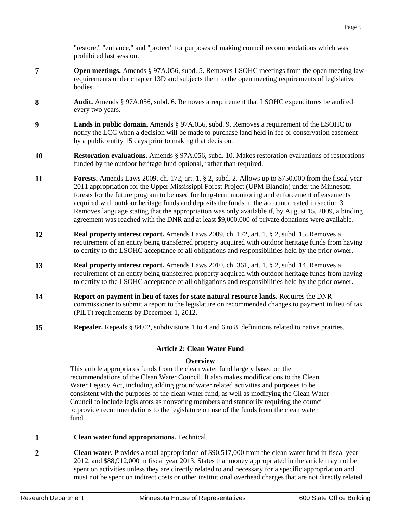"restore," "enhance," and "protect" for purposes of making council recommendations which was prohibited last session.

- **7 Open meetings.** Amends § 97A.056, subd. 5. Removes LSOHC meetings from the open meeting law requirements under chapter 13D and subjects them to the open meeting requirements of legislative bodies.
- **8 Audit.** Amends § 97A.056, subd. 6. Removes a requirement that LSOHC expenditures be audited every two years.
- **9 Lands in public domain.** Amends § 97A.056, subd. 9. Removes a requirement of the LSOHC to notify the LCC when a decision will be made to purchase land held in fee or conservation easement by a public entity 15 days prior to making that decision.
- **10 Restoration evaluations.** Amends § 97A.056, subd. 10. Makes restoration evaluations of restorations funded by the outdoor heritage fund optional, rather than required.
- **11 Forests.** Amends Laws 2009, ch. 172, art. 1, § 2, subd. 2. Allows up to \$750,000 from the fiscal year 2011 appropriation for the Upper Mississippi Forest Project (UPM Blandin) under the Minnesota forests for the future program to be used for long-term monitoring and enforcement of easements acquired with outdoor heritage funds and deposits the funds in the account created in section 3. Removes language stating that the appropriation was only available if, by August 15, 2009, a binding agreement was reached with the DNR and at least \$9,000,000 of private donations were available.
- **12 Real property interest report.** Amends Laws 2009, ch. 172, art. 1, § 2, subd. 15. Removes a requirement of an entity being transferred property acquired with outdoor heritage funds from having to certify to the LSOHC acceptance of all obligations and responsibilities held by the prior owner.
- **13 Real property interest report.** Amends Laws 2010, ch. 361, art. 1, § 2, subd. 14. Removes a requirement of an entity being transferred property acquired with outdoor heritage funds from having to certify to the LSOHC acceptance of all obligations and responsibilities held by the prior owner.
- **14 Report on payment in lieu of taxes for state natural resource lands.** Requires the DNR commissioner to submit a report to the legislature on recommended changes to payment in lieu of tax (PILT) requirements by December 1, 2012.
- **15 Repealer.** Repeals § 84.02, subdivisions 1 to 4 and 6 to 8, definitions related to native prairies.

## **Article 2: Clean Water Fund**

## **Overview**

This article appropriates funds from the clean water fund largely based on the recommendations of the Clean Water Council. It also makes modifications to the Clean Water Legacy Act, including adding groundwater related activities and purposes to be consistent with the purposes of the clean water fund, as well as modifying the Clean Water Council to include legislators as nonvoting members and statutorily requiring the council to provide recommendations to the legislature on use of the funds from the clean water fund.

- **1 Clean water fund appropriations.** Technical.
- **2 Clean water.** Provides a total appropriation of \$90,517,000 from the clean water fund in fiscal year 2012, and \$88,912,000 in fiscal year 2013. States that money appropriated in the article may not be spent on activities unless they are directly related to and necessary for a specific appropriation and must not be spent on indirect costs or other institutional overhead charges that are not directly related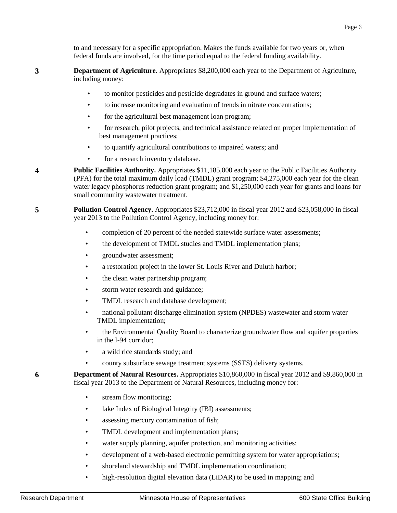to and necessary for a specific appropriation. Makes the funds available for two years or, when federal funds are involved, for the time period equal to the federal funding availability.

**3 Department of Agriculture.** Appropriates \$8,200,000 each year to the Department of Agriculture, including money:

- to monitor pesticides and pesticide degradates in ground and surface waters;
- to increase monitoring and evaluation of trends in nitrate concentrations;
- for the agricultural best management loan program;
- for research, pilot projects, and technical assistance related on proper implementation of best management practices;
- to quantify agricultural contributions to impaired waters; and
- for a research inventory database.

**4 Public Facilities Authority.** Appropriates \$11,185,000 each year to the Public Facilities Authority (PFA) for the total maximum daily load (TMDL) grant program; \$4,275,000 each year for the clean water legacy phosphorus reduction grant program; and \$1,250,000 each year for grants and loans for small community wastewater treatment.

**5 Pollution Control Agency.** Appropriates \$23,712,000 in fiscal year 2012 and \$23,058,000 in fiscal year 2013 to the Pollution Control Agency, including money for:

- completion of 20 percent of the needed statewide surface water assessments;
- the development of TMDL studies and TMDL implementation plans;
- groundwater assessment;
- a restoration project in the lower St. Louis River and Duluth harbor;
- the clean water partnership program;
- storm water research and guidance;
- TMDL research and database development;
- national pollutant discharge elimination system (NPDES) wastewater and storm water TMDL implementation;
- the Environmental Quality Board to characterize groundwater flow and aquifer properties in the I-94 corridor;
- a wild rice standards study; and
- county subsurface sewage treatment systems (SSTS) delivery systems.

**6 Department of Natural Resources.** Appropriates \$10,860,000 in fiscal year 2012 and \$9,860,000 in fiscal year 2013 to the Department of Natural Resources, including money for:

- stream flow monitoring;
- lake Index of Biological Integrity (IBI) assessments;
- assessing mercury contamination of fish;
- TMDL development and implementation plans;
- water supply planning, aquifer protection, and monitoring activities;
- development of a web-based electronic permitting system for water appropriations;
- shoreland stewardship and TMDL implementation coordination;
- high-resolution digital elevation data (LiDAR) to be used in mapping; and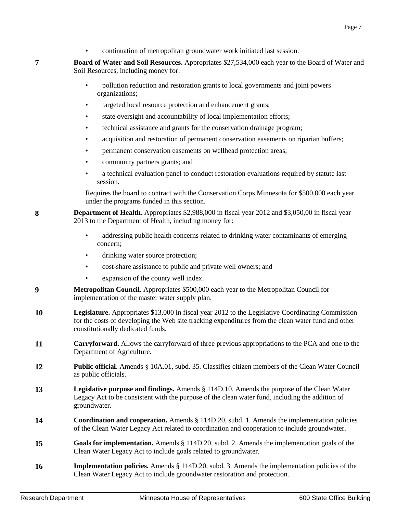• continuation of metropolitan groundwater work initiated last session.

**7 Board of Water and Soil Resources.** Appropriates \$27,534,000 each year to the Board of Water and Soil Resources, including money for:

- pollution reduction and restoration grants to local governments and joint powers organizations;
- targeted local resource protection and enhancement grants;
- state oversight and accountability of local implementation efforts;
- technical assistance and grants for the conservation drainage program;
- acquisition and restoration of permanent conservation easements on riparian buffers;
- permanent conservation easements on wellhead protection areas;
- community partners grants; and
- a technical evaluation panel to conduct restoration evaluations required by statute last session.

Requires the board to contract with the Conservation Corps Minnesota for \$500,000 each year under the programs funded in this section.

**8 Department of Health.** Appropriates \$2,988,000 in fiscal year 2012 and \$3,050,00 in fiscal year 2013 to the Department of Health, including money for:

- addressing public health concerns related to drinking water contaminants of emerging concern;
- drinking water source protection;
- cost-share assistance to public and private well owners; and
- expansion of the county well index.
- **9 Metropolitan Council.** Appropriates \$500,000 each year to the Metropolitan Council for implementation of the master water supply plan.
- **10 Legislature.** Appropriates \$13,000 in fiscal year 2012 to the Legislative Coordinating Commission for the costs of developing the Web site tracking expenditures from the clean water fund and other constitutionally dedicated funds.
- **11 Carryforward.** Allows the carryforward of three previous appropriations to the PCA and one to the Department of Agriculture.
- **12 Public official.** Amends § 10A.01, subd. 35. Classifies citizen members of the Clean Water Council as public officials.
- **13 Legislative purpose and findings.** Amends § 114D.10. Amends the purpose of the Clean Water Legacy Act to be consistent with the purpose of the clean water fund, including the addition of groundwater.
- **14 Coordination and cooperation.** Amends § 114D.20, subd. 1. Amends the implementation policies of the Clean Water Legacy Act related to coordination and cooperation to include groundwater.
- **15 Goals for implementation.** Amends § 114D.20, subd. 2. Amends the implementation goals of the Clean Water Legacy Act to include goals related to groundwater.
- **16 Implementation policies.** Amends § 114D.20, subd. 3. Amends the implementation policies of the Clean Water Legacy Act to include groundwater restoration and protection.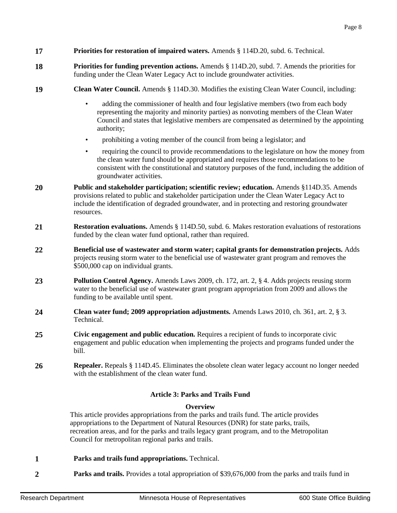- **17 Priorities for restoration of impaired waters.** Amends § 114D.20, subd. 6. Technical.
- **18 Priorities for funding prevention actions.** Amends § 114D.20, subd. 7. Amends the priorities for funding under the Clean Water Legacy Act to include groundwater activities.
- **19 Clean Water Council.** Amends § 114D.30. Modifies the existing Clean Water Council, including:
	- adding the commissioner of health and four legislative members (two from each body representing the majority and minority parties) as nonvoting members of the Clean Water Council and states that legislative members are compensated as determined by the appointing authority;
	- prohibiting a voting member of the council from being a legislator; and
	- requiring the council to provide recommendations to the legislature on how the money from the clean water fund should be appropriated and requires those recommendations to be consistent with the constitutional and statutory purposes of the fund, including the addition of groundwater activities.
- **20 Public and stakeholder participation; scientific review; education.** Amends §114D.35. Amends provisions related to public and stakeholder participation under the Clean Water Legacy Act to include the identification of degraded groundwater, and in protecting and restoring groundwater resources.
- **21 Restoration evaluations.** Amends § 114D.50, subd. 6. Makes restoration evaluations of restorations funded by the clean water fund optional, rather than required.
- **22 Beneficial use of wastewater and storm water; capital grants for demonstration projects.** Adds projects reusing storm water to the beneficial use of wastewater grant program and removes the \$500,000 cap on individual grants.
- **23 Pollution Control Agency.** Amends Laws 2009, ch. 172, art. 2, § 4. Adds projects reusing storm water to the beneficial use of wastewater grant program appropriation from 2009 and allows the funding to be available until spent.
- **24 Clean water fund; 2009 appropriation adjustments.** Amends Laws 2010, ch. 361, art. 2, § 3. Technical.
- **25 Civic engagement and public education.** Requires a recipient of funds to incorporate civic engagement and public education when implementing the projects and programs funded under the bill.
- **26 Repealer.** Repeals § 114D.45. Eliminates the obsolete clean water legacy account no longer needed with the establishment of the clean water fund.

## **Article 3: Parks and Trails Fund**

## **Overview**

This article provides appropriations from the parks and trails fund. The article provides appropriations to the Department of Natural Resources (DNR) for state parks, trails, recreation areas, and for the parks and trails legacy grant program, and to the Metropolitan Council for metropolitan regional parks and trails.

- **1 Parks and trails fund appropriations.** Technical.
- **2 Parks and trails.** Provides a total appropriation of \$39,676,000 from the parks and trails fund in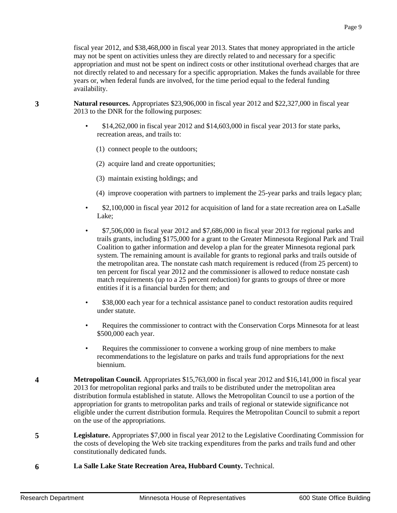fiscal year 2012, and \$38,468,000 in fiscal year 2013. States that money appropriated in the article may not be spent on activities unless they are directly related to and necessary for a specific appropriation and must not be spent on indirect costs or other institutional overhead charges that are not directly related to and necessary for a specific appropriation. Makes the funds available for three years or, when federal funds are involved, for the time period equal to the federal funding availability.

- **3 Natural resources.** Appropriates \$23,906,000 in fiscal year 2012 and \$22,327,000 in fiscal year 2013 to the DNR for the following purposes:
	- \$14,262,000 in fiscal year 2012 and \$14,603,000 in fiscal year 2013 for state parks, recreation areas, and trails to:
		- (1) connect people to the outdoors;
		- (2) acquire land and create opportunities;
		- (3) maintain existing holdings; and
		- (4) improve cooperation with partners to implement the 25-year parks and trails legacy plan;
	- \$2,100,000 in fiscal year 2012 for acquisition of land for a state recreation area on LaSalle Lake;
	- \$7,506,000 in fiscal year 2012 and \$7,686,000 in fiscal year 2013 for regional parks and trails grants, including \$175,000 for a grant to the Greater Minnesota Regional Park and Trail Coalition to gather information and develop a plan for the greater Minnesota regional park system. The remaining amount is available for grants to regional parks and trails outside of the metropolitan area. The nonstate cash match requirement is reduced (from 25 percent) to ten percent for fiscal year 2012 and the commissioner is allowed to reduce nonstate cash match requirements (up to a 25 percent reduction) for grants to groups of three or more entities if it is a financial burden for them; and
	- \$38,000 each year for a technical assistance panel to conduct restoration audits required under statute.
	- Requires the commissioner to contract with the Conservation Corps Minnesota for at least \$500,000 each year.
	- Requires the commissioner to convene a working group of nine members to make recommendations to the legislature on parks and trails fund appropriations for the next biennium.
- **4 Metropolitan Council.** Appropriates \$15,763,000 in fiscal year 2012 and \$16,141,000 in fiscal year 2013 for metropolitan regional parks and trails to be distributed under the metropolitan area distribution formula established in statute. Allows the Metropolitan Council to use a portion of the appropriation for grants to metropolitan parks and trails of regional or statewide significance not eligible under the current distribution formula. Requires the Metropolitan Council to submit a report on the use of the appropriations.
- **5 Legislature.** Appropriates \$7,000 in fiscal year 2012 to the Legislative Coordinating Commission for the costs of developing the Web site tracking expenditures from the parks and trails fund and other constitutionally dedicated funds.
- **6 La Salle Lake State Recreation Area, Hubbard County.** Technical.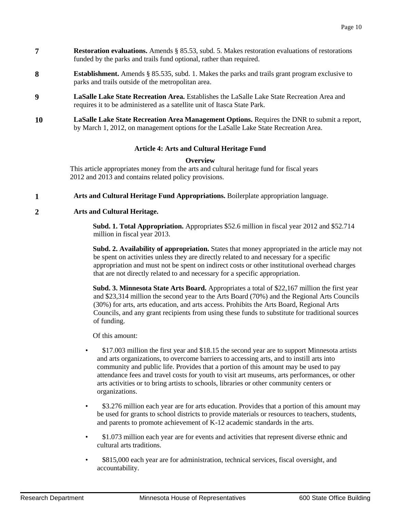- **7 Restoration evaluations.** Amends § 85.53, subd. 5. Makes restoration evaluations of restorations funded by the parks and trails fund optional, rather than required.
- **8 <b>Establishment.** Amends § 85.535, subd. 1. Makes the parks and trails grant program exclusive to parks and trails outside of the metropolitan area.
- **9 LaSalle Lake State Recreation Area.** Establishes the LaSalle Lake State Recreation Area and requires it to be administered as a satellite unit of Itasca State Park.
- **10 LaSalle Lake State Recreation Area Management Options.** Requires the DNR to submit a report, by March 1, 2012, on management options for the LaSalle Lake State Recreation Area.

## **Article 4: Arts and Cultural Heritage Fund**

#### **Overview**

This article appropriates money from the arts and cultural heritage fund for fiscal years 2012 and 2013 and contains related policy provisions.

**1 Arts and Cultural Heritage Fund Appropriations.** Boilerplate appropriation language.

## **2 Arts and Cultural Heritage.**

**Subd. 1. Total Appropriation.** Appropriates \$52.6 million in fiscal year 2012 and \$52.714 million in fiscal year 2013.

**Subd. 2. Availability of appropriation.** States that money appropriated in the article may not be spent on activities unless they are directly related to and necessary for a specific appropriation and must not be spent on indirect costs or other institutional overhead charges that are not directly related to and necessary for a specific appropriation.

**Subd. 3. Minnesota State Arts Board.** Appropriates a total of \$22,167 million the first year and \$23,314 million the second year to the Arts Board (70%) and the Regional Arts Councils (30%) for arts, arts education, and arts access. Prohibits the Arts Board, Regional Arts Councils, and any grant recipients from using these funds to substitute for traditional sources of funding.

Of this amount:

- \$17.003 million the first year and \$18.15 the second year are to support Minnesota artists and arts organizations, to overcome barriers to accessing arts, and to instill arts into community and public life. Provides that a portion of this amount may be used to pay attendance fees and travel costs for youth to visit art museums, arts performances, or other arts activities or to bring artists to schools, libraries or other community centers or organizations.
- \$3.276 million each year are for arts education. Provides that a portion of this amount may be used for grants to school districts to provide materials or resources to teachers, students, and parents to promote achievement of K-12 academic standards in the arts.
- \$1.073 million each year are for events and activities that represent diverse ethnic and cultural arts traditions.
- \$815,000 each year are for administration, technical services, fiscal oversight, and accountability.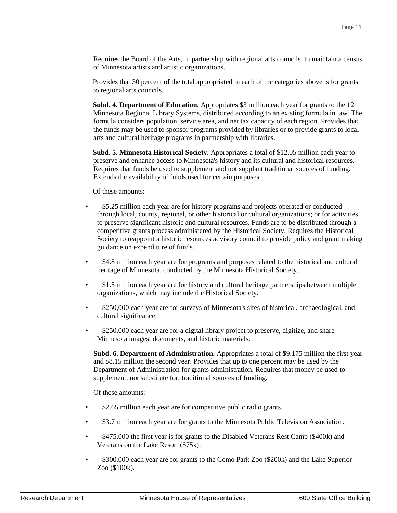Requires the Board of the Arts, in partnership with regional arts councils, to maintain a census of Minnesota artists and artistic organizations.

Provides that 30 percent of the total appropriated in each of the categories above is for grants to regional arts councils.

**Subd. 4. Department of Education.** Appropriates \$3 million each year for grants to the 12 Minnesota Regional Library Systems, distributed according to an existing formula in law. The formula considers population, service area, and net tax capacity of each region. Provides that the funds may be used to sponsor programs provided by libraries or to provide grants to local arts and cultural heritage programs in partnership with libraries.

**Subd. 5. Minnesota Historical Society.** Appropriates a total of \$12.05 million each year to preserve and enhance access to Minnesota's history and its cultural and historical resources. Requires that funds be used to supplement and not supplant traditional sources of funding. Extends the availability of funds used for certain purposes.

Of these amounts:

- \$5.25 million each year are for history programs and projects operated or conducted through local, county, regional, or other historical or cultural organizations; or for activities to preserve significant historic and cultural resources. Funds are to be distributed through a competitive grants process administered by the Historical Society. Requires the Historical Society to reappoint a historic resources advisory council to provide policy and grant making guidance on expenditure of funds.
- \$4.8 million each year are for programs and purposes related to the historical and cultural heritage of Minnesota, conducted by the Minnesota Historical Society.
- \$1.5 million each year are for history and cultural heritage partnerships between multiple organizations, which may include the Historical Society.
- \$250,000 each year are for surveys of Minnesota's sites of historical, archaeological, and cultural significance.
- \$250,000 each year are for a digital library project to preserve, digitize, and share Minnesota images, documents, and historic materials.

**Subd. 6. Department of Administration.** Appropriates a total of \$9.175 million the first year and \$8.15 million the second year. Provides that up to one percent may be used by the Department of Administration for grants administration. Requires that money be used to supplement, not substitute for, traditional sources of funding.

Of these amounts:

- \$2.65 million each year are for competitive public radio grants.
- \$3.7 million each year are for grants to the Minnesota Public Television Association.
- \$475,000 the first year is for grants to the Disabled Veterans Rest Camp (\$400k) and Veterans on the Lake Resort (\$75k).
- \$300,000 each year are for grants to the Como Park Zoo (\$200k) and the Lake Superior Zoo (\$100k).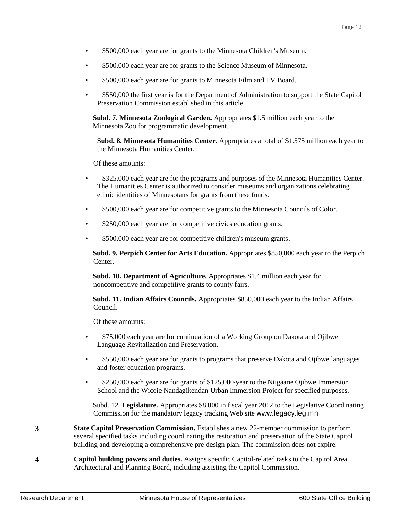- \$500,000 each year are for grants to the Minnesota Children's Museum.
- \$500,000 each year are for grants to the Science Museum of Minnesota.
- \$500,000 each year are for grants to Minnesota Film and TV Board.
- \$550,000 the first year is for the Department of Administration to support the State Capitol Preservation Commission established in this article.

**Subd. 7. Minnesota Zoological Garden.** Appropriates \$1.5 million each year to the Minnesota Zoo for programmatic development.

**Subd. 8. Minnesota Humanities Center.** Appropriates a total of \$1.575 million each year to the Minnesota Humanities Center.

Of these amounts:

- \$325,000 each year are for the programs and purposes of the Minnesota Humanities Center. The Humanities Center is authorized to consider museums and organizations celebrating ethnic identities of Minnesotans for grants from these funds.
- \$500,000 each year are for competitive grants to the Minnesota Councils of Color.
- \$250,000 each year are for competitive civics education grants.
- \$500,000 each year are for competitive children's museum grants.

**Subd. 9. Perpich Center for Arts Education.** Appropriates \$850,000 each year to the Perpich Center.

**Subd. 10. Department of Agriculture.** Appropriates \$1.4 million each year for noncompetitive and competitive grants to county fairs.

**Subd. 11. Indian Affairs Councils.** Appropriates \$850,000 each year to the Indian Affairs Council.

Of these amounts:

- \$75,000 each year are for continuation of a Working Group on Dakota and Ojibwe Language Revitalization and Preservation.
- \$550,000 each year are for grants to programs that preserve Dakota and Ojibwe languages and foster education programs.
- \$250,000 each year are for grants of \$125,000/year to the Niigaane Ojibwe Immersion School and the Wicoie Nandagikendan Urban Immersion Project for specified purposes.

Subd. 12. **Legislature.** Appropriates \$8,000 in fiscal year 2012 to the Legislative Coordinating Commission for the mandatory legacy tracking Web site www.legacy.leg.mn

- **3 State Capitol Preservation Commission.** Establishes a new 22-member commission to perform several specified tasks including coordinating the restoration and preservation of the State Capitol building and developing a comprehensive pre-design plan. The commission does not expire.
- **4 Capitol building powers and duties.** Assigns specific Capitol-related tasks to the Capitol Area Architectural and Planning Board, including assisting the Capitol Commission.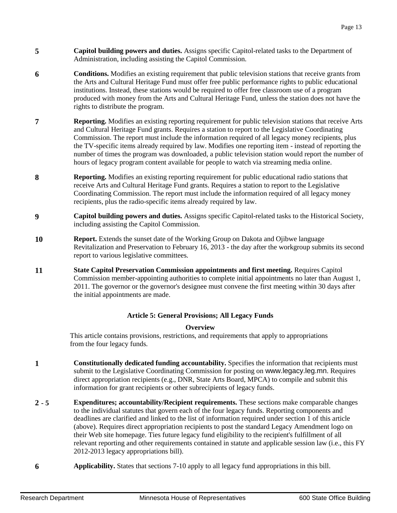- **5 Capitol building powers and duties.** Assigns specific Capitol-related tasks to the Department of Administration, including assisting the Capitol Commission.
- **6 <b>Conditions.** Modifies an existing requirement that public television stations that receive grants from the Arts and Cultural Heritage Fund must offer free public performance rights to public educational institutions. Instead, these stations would be required to offer free classroom use of a program produced with money from the Arts and Cultural Heritage Fund, unless the station does not have the rights to distribute the program.
- *P* **Reporting.** Modifies an existing reporting requirement for public television stations that receive Arts and Cultural Heritage Fund grants. Requires a station to report to the Legislative Coordinating Commission. The report must include the information required of all legacy money recipients, plus the TV-specific items already required by law. Modifies one reporting item - instead of reporting the number of times the program was downloaded, a public television station would report the number of hours of legacy program content available for people to watch via streaming media online.
- **8 Reporting.** Modifies an existing reporting requirement for public educational radio stations that receive Arts and Cultural Heritage Fund grants. Requires a station to report to the Legislative Coordinating Commission. The report must include the information required of all legacy money recipients, plus the radio-specific items already required by law.
- **9 Capitol building powers and duties.** Assigns specific Capitol-related tasks to the Historical Society, including assisting the Capitol Commission.
- **10 Report.** Extends the sunset date of the Working Group on Dakota and Ojibwe language Revitalization and Preservation to February 16, 2013 - the day after the workgroup submits its second report to various legislative committees.
- **11 State Capitol Preservation Commission appointments and first meeting. Requires Capitol** Commission member-appointing authorities to complete initial appointments no later than August 1, 2011. The governor or the governor's designee must convene the first meeting within 30 days after the initial appointments are made.

## **Article 5: General Provisions; All Legacy Funds**

## **Overview**

This article contains provisions, restrictions, and requirements that apply to appropriations from the four legacy funds.

- **1 1 Constitutionally dedicated funding accountability.** Specifies the information that recipients must submit to the Legislative Coordinating Commission for posting on www.legacy.leg.mn. Requires direct appropriation recipients (e.g., DNR, State Arts Board, MPCA) to compile and submit this information for grant recipients or other subrecipients of legacy funds.
- **2 - 5 Expenditures; accountability/Recipient requirements.** These sections make comparable changes to the individual statutes that govern each of the four legacy funds. Reporting components and deadlines are clarified and linked to the list of information required under section 1 of this article (above). Requires direct appropriation recipients to post the standard Legacy Amendment logo on their Web site homepage. Ties future legacy fund eligibility to the recipient's fulfillment of all relevant reporting and other requirements contained in statute and applicable session law (i.e., this FY 2012-2013 legacy appropriations bill).
- **6 Applicability.** States that sections 7-10 apply to all legacy fund appropriations in this bill.